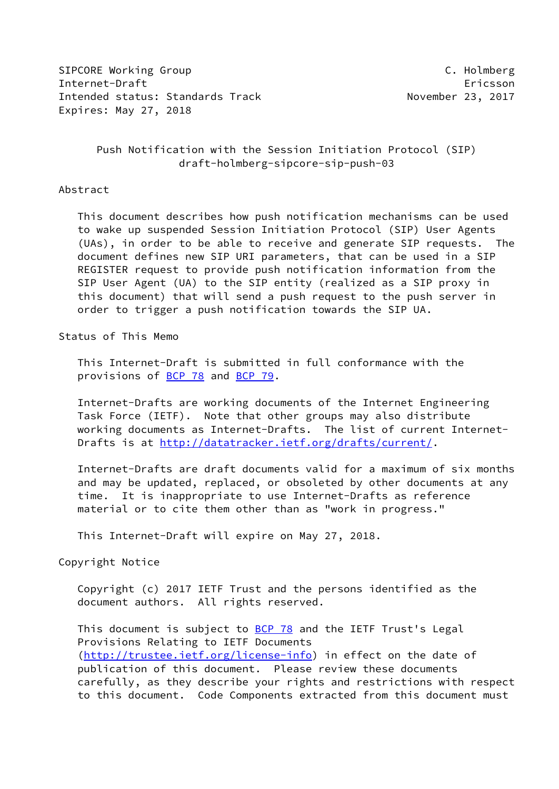SIPCORE Working Group **C. Holmberg** Internet-Draft Ericsson Intended status: Standards Track November 23, 2017 Expires: May 27, 2018

# Push Notification with the Session Initiation Protocol (SIP) draft-holmberg-sipcore-sip-push-03

#### Abstract

 This document describes how push notification mechanisms can be used to wake up suspended Session Initiation Protocol (SIP) User Agents (UAs), in order to be able to receive and generate SIP requests. The document defines new SIP URI parameters, that can be used in a SIP REGISTER request to provide push notification information from the SIP User Agent (UA) to the SIP entity (realized as a SIP proxy in this document) that will send a push request to the push server in order to trigger a push notification towards the SIP UA.

#### Status of This Memo

 This Internet-Draft is submitted in full conformance with the provisions of **BCP 78** and **BCP 79**.

 Internet-Drafts are working documents of the Internet Engineering Task Force (IETF). Note that other groups may also distribute working documents as Internet-Drafts. The list of current Internet Drafts is at<http://datatracker.ietf.org/drafts/current/>.

 Internet-Drafts are draft documents valid for a maximum of six months and may be updated, replaced, or obsoleted by other documents at any time. It is inappropriate to use Internet-Drafts as reference material or to cite them other than as "work in progress."

This Internet-Draft will expire on May 27, 2018.

### Copyright Notice

 Copyright (c) 2017 IETF Trust and the persons identified as the document authors. All rights reserved.

This document is subject to **[BCP 78](https://datatracker.ietf.org/doc/pdf/bcp78)** and the IETF Trust's Legal Provisions Relating to IETF Documents [\(http://trustee.ietf.org/license-info](http://trustee.ietf.org/license-info)) in effect on the date of publication of this document. Please review these documents carefully, as they describe your rights and restrictions with respect to this document. Code Components extracted from this document must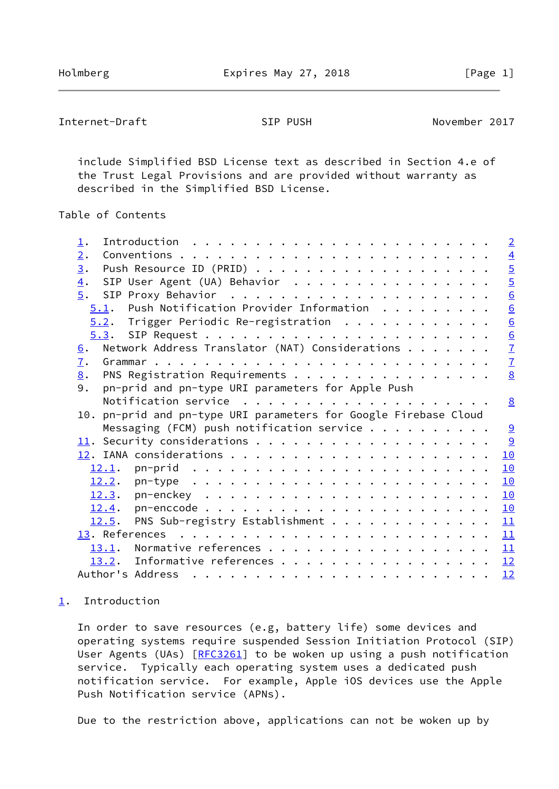<span id="page-1-1"></span>Internet-Draft SIP PUSH November 2017

 include Simplified BSD License text as described in Section 4.e of the Trust Legal Provisions and are provided without warranty as described in the Simplified BSD License.

# Table of Contents

| $1$ .                                                               |  | $\overline{2}$  |
|---------------------------------------------------------------------|--|-----------------|
| 2.                                                                  |  |                 |
| $\overline{3}$ .                                                    |  | $\frac{4}{5}$   |
| SIP User Agent (UA) Behavior<br>$\overline{4}$ .                    |  |                 |
| $\overline{5}$ .                                                    |  | $\overline{6}$  |
| Push Notification Provider Information<br>5.1.                      |  | 6               |
| $5.2$ . Trigger Periodic Re-registration                            |  | $\underline{6}$ |
|                                                                     |  |                 |
| Network Address Translator (NAT) Considerations<br>6.               |  | $\frac{6}{7}$   |
| $\overline{1}$ .                                                    |  |                 |
| PNS Registration Requirements<br>8.                                 |  | 8               |
| pn-prid and pn-type URI parameters for Apple Push<br>9.             |  |                 |
|                                                                     |  | 8               |
|                                                                     |  |                 |
| pn-prid and pn-type URI parameters for Google Firebase Cloud<br>10. |  |                 |
| Messaging (FCM) push notification service $\cdots$                  |  | 9               |
|                                                                     |  | 9               |
|                                                                     |  | 10              |
|                                                                     |  | 10              |
|                                                                     |  | 10              |
|                                                                     |  | 10              |
|                                                                     |  | 10              |
| PNS Sub-registry Establishment<br>12.5.                             |  | 11              |
|                                                                     |  |                 |
| Normative references<br>13.1.                                       |  | 11              |
| 13.2. Informative references                                        |  | 12              |

## <span id="page-1-0"></span>[1](#page-1-0). Introduction

 In order to save resources (e.g, battery life) some devices and operating systems require suspended Session Initiation Protocol (SIP) User Agents (UAs) [[RFC3261](https://datatracker.ietf.org/doc/pdf/rfc3261)] to be woken up using a push notification service. Typically each operating system uses a dedicated push notification service. For example, Apple iOS devices use the Apple Push Notification service (APNs).

Due to the restriction above, applications can not be woken up by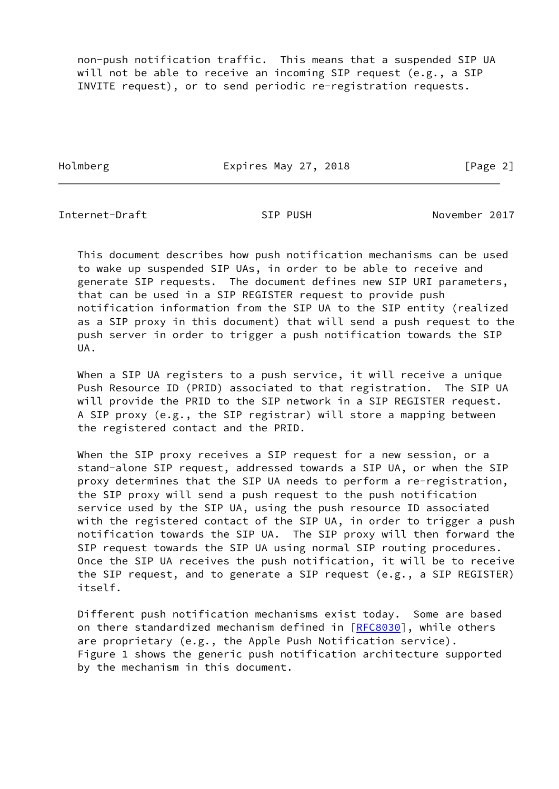non-push notification traffic. This means that a suspended SIP UA will not be able to receive an incoming SIP request (e.g., a SIP INVITE request), or to send periodic re-registration requests.

Holmberg **Expires May 27, 2018** Expires May 27, 2018

Internet-Draft SIP PUSH November 2017

 This document describes how push notification mechanisms can be used to wake up suspended SIP UAs, in order to be able to receive and generate SIP requests. The document defines new SIP URI parameters, that can be used in a SIP REGISTER request to provide push notification information from the SIP UA to the SIP entity (realized as a SIP proxy in this document) that will send a push request to the push server in order to trigger a push notification towards the SIP UA.

 When a SIP UA registers to a push service, it will receive a unique Push Resource ID (PRID) associated to that registration. The SIP UA will provide the PRID to the SIP network in a SIP REGISTER request. A SIP proxy (e.g., the SIP registrar) will store a mapping between the registered contact and the PRID.

 When the SIP proxy receives a SIP request for a new session, or a stand-alone SIP request, addressed towards a SIP UA, or when the SIP proxy determines that the SIP UA needs to perform a re-registration, the SIP proxy will send a push request to the push notification service used by the SIP UA, using the push resource ID associated with the registered contact of the SIP UA, in order to trigger a push notification towards the SIP UA. The SIP proxy will then forward the SIP request towards the SIP UA using normal SIP routing procedures. Once the SIP UA receives the push notification, it will be to receive the SIP request, and to generate a SIP request (e.g., a SIP REGISTER) itself.

 Different push notification mechanisms exist today. Some are based on there standardized mechanism defined in [[RFC8030\]](https://datatracker.ietf.org/doc/pdf/rfc8030), while others are proprietary (e.g., the Apple Push Notification service). Figure 1 shows the generic push notification architecture supported by the mechanism in this document.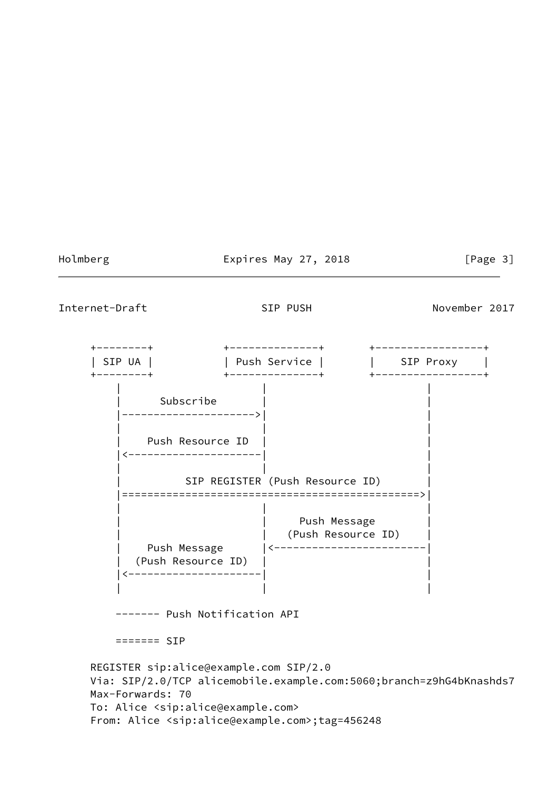## Holmberg Expires May 27, 2018 [Page 3]

<span id="page-3-0"></span>Internet-Draft SIP PUSH SIP PUSH November 2017

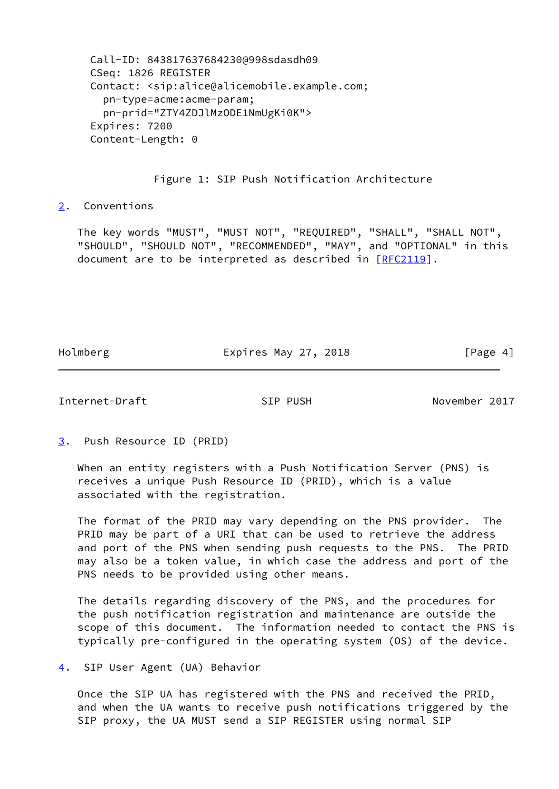Call-ID: 843817637684230@998sdasdh09 CSeq: 1826 REGISTER Contact: <sip:alice@alicemobile.example.com; pn-type=acme:acme-param; pn-prid="ZTY4ZDJlMzODE1NmUgKi0K"> Expires: 7200 Content-Length: 0

### Figure 1: SIP Push Notification Architecture

<span id="page-4-0"></span>[2](#page-4-0). Conventions

 The key words "MUST", "MUST NOT", "REQUIRED", "SHALL", "SHALL NOT", "SHOULD", "SHOULD NOT", "RECOMMENDED", "MAY", and "OPTIONAL" in this document are to be interpreted as described in [\[RFC2119](https://datatracker.ietf.org/doc/pdf/rfc2119)].

Holmberg **Expires May 27, 2018** Expires May 27, 2018

<span id="page-4-2"></span>Internet-Draft SIP PUSH November 2017

<span id="page-4-1"></span>[3](#page-4-1). Push Resource ID (PRID)

 When an entity registers with a Push Notification Server (PNS) is receives a unique Push Resource ID (PRID), which is a value associated with the registration.

 The format of the PRID may vary depending on the PNS provider. The PRID may be part of a URI that can be used to retrieve the address and port of the PNS when sending push requests to the PNS. The PRID may also be a token value, in which case the address and port of the PNS needs to be provided using other means.

 The details regarding discovery of the PNS, and the procedures for the push notification registration and maintenance are outside the scope of this document. The information needed to contact the PNS is typically pre-configured in the operating system (OS) of the device.

<span id="page-4-3"></span>[4](#page-4-3). SIP User Agent (UA) Behavior

 Once the SIP UA has registered with the PNS and received the PRID, and when the UA wants to receive push notifications triggered by the SIP proxy, the UA MUST send a SIP REGISTER using normal SIP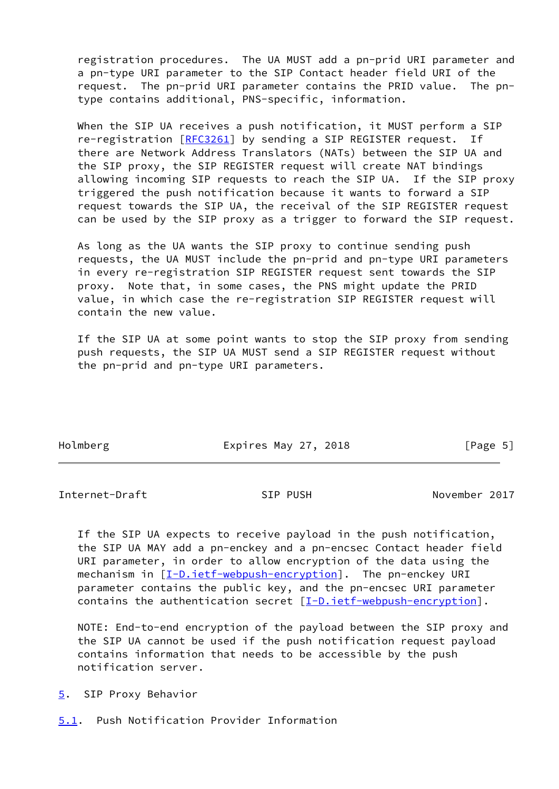registration procedures. The UA MUST add a pn-prid URI parameter and a pn-type URI parameter to the SIP Contact header field URI of the request. The pn-prid URI parameter contains the PRID value. The pn type contains additional, PNS-specific, information.

 When the SIP UA receives a push notification, it MUST perform a SIP re-registration [\[RFC3261](https://datatracker.ietf.org/doc/pdf/rfc3261)] by sending a SIP REGISTER request. If there are Network Address Translators (NATs) between the SIP UA and the SIP proxy, the SIP REGISTER request will create NAT bindings allowing incoming SIP requests to reach the SIP UA. If the SIP proxy triggered the push notification because it wants to forward a SIP request towards the SIP UA, the receival of the SIP REGISTER request can be used by the SIP proxy as a trigger to forward the SIP request.

 As long as the UA wants the SIP proxy to continue sending push requests, the UA MUST include the pn-prid and pn-type URI parameters in every re-registration SIP REGISTER request sent towards the SIP proxy. Note that, in some cases, the PNS might update the PRID value, in which case the re-registration SIP REGISTER request will contain the new value.

 If the SIP UA at some point wants to stop the SIP proxy from sending push requests, the SIP UA MUST send a SIP REGISTER request without the pn-prid and pn-type URI parameters.

Holmberg Expires May 27, 2018 [Page 5]

<span id="page-5-1"></span>Internet-Draft SIP PUSH November 2017

 If the SIP UA expects to receive payload in the push notification, the SIP UA MAY add a pn-enckey and a pn-encsec Contact header field URI parameter, in order to allow encryption of the data using the mechanism in  $[I-D.iett-webpush-encryption]$ . The pn-enckey URI parameter contains the public key, and the pn-encsec URI parameter contains the authentication secret [[I-D.ietf-webpush-encryption\]](#page-12-4).

 NOTE: End-to-end encryption of the payload between the SIP proxy and the SIP UA cannot be used if the push notification request payload contains information that needs to be accessible by the push notification server.

<span id="page-5-0"></span>[5](#page-5-0). SIP Proxy Behavior

<span id="page-5-2"></span>[5.1](#page-5-2). Push Notification Provider Information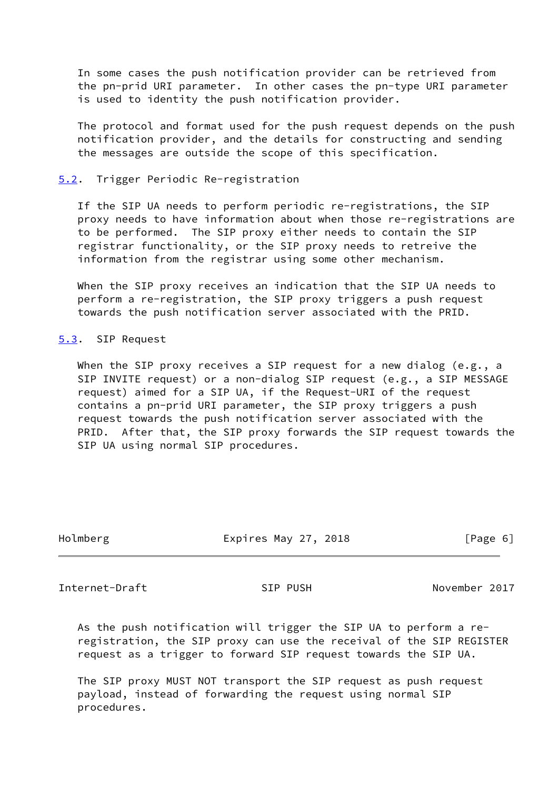In some cases the push notification provider can be retrieved from the pn-prid URI parameter. In other cases the pn-type URI parameter is used to identity the push notification provider.

 The protocol and format used for the push request depends on the push notification provider, and the details for constructing and sending the messages are outside the scope of this specification.

#### <span id="page-6-0"></span>[5.2](#page-6-0). Trigger Periodic Re-registration

 If the SIP UA needs to perform periodic re-registrations, the SIP proxy needs to have information about when those re-registrations are to be performed. The SIP proxy either needs to contain the SIP registrar functionality, or the SIP proxy needs to retreive the information from the registrar using some other mechanism.

 When the SIP proxy receives an indication that the SIP UA needs to perform a re-registration, the SIP proxy triggers a push request towards the push notification server associated with the PRID.

<span id="page-6-1"></span>[5.3](#page-6-1). SIP Request

When the SIP proxy receives a SIP request for a new dialog (e.g., a SIP INVITE request) or a non-dialog SIP request (e.g., a SIP MESSAGE request) aimed for a SIP UA, if the Request-URI of the request contains a pn-prid URI parameter, the SIP proxy triggers a push request towards the push notification server associated with the PRID. After that, the SIP proxy forwards the SIP request towards the SIP UA using normal SIP procedures.

| Holmberg | Expires May 27, 2018 | [Page 6] |
|----------|----------------------|----------|
|          |                      |          |

<span id="page-6-2"></span>Internet-Draft SIP PUSH November 2017

 As the push notification will trigger the SIP UA to perform a re registration, the SIP proxy can use the receival of the SIP REGISTER request as a trigger to forward SIP request towards the SIP UA.

 The SIP proxy MUST NOT transport the SIP request as push request payload, instead of forwarding the request using normal SIP procedures.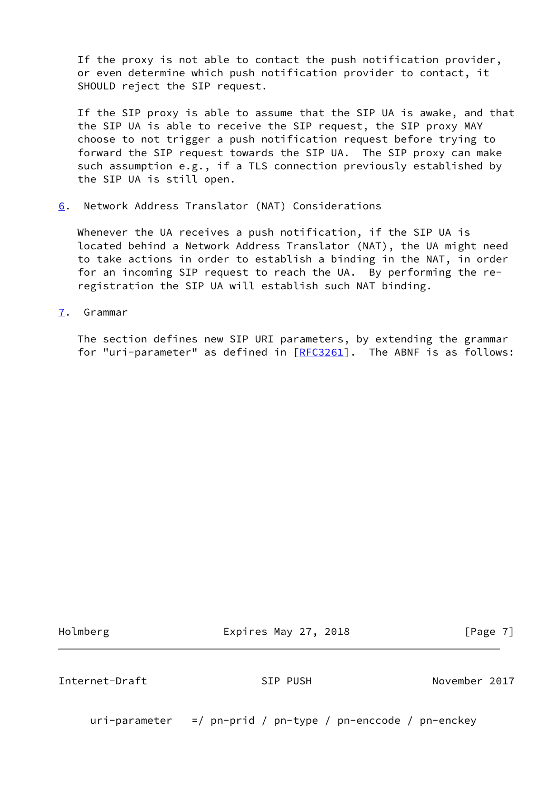If the proxy is not able to contact the push notification provider, or even determine which push notification provider to contact, it SHOULD reject the SIP request.

 If the SIP proxy is able to assume that the SIP UA is awake, and that the SIP UA is able to receive the SIP request, the SIP proxy MAY choose to not trigger a push notification request before trying to forward the SIP request towards the SIP UA. The SIP proxy can make such assumption e.g., if a TLS connection previously established by the SIP UA is still open.

<span id="page-7-0"></span>[6](#page-7-0). Network Address Translator (NAT) Considerations

 Whenever the UA receives a push notification, if the SIP UA is located behind a Network Address Translator (NAT), the UA might need to take actions in order to establish a binding in the NAT, in order for an incoming SIP request to reach the UA. By performing the re registration the SIP UA will establish such NAT binding.

<span id="page-7-1"></span>[7](#page-7-1). Grammar

 The section defines new SIP URI parameters, by extending the grammar for "uri-parameter" as defined in  $[REC3261]$ . The ABNF is as follows:

Holmberg **Expires May 27, 2018** Expires May 27, 2018

<span id="page-7-2"></span>Internet-Draft SIP PUSH November 2017

uri-parameter =/ pn-prid / pn-type / pn-enccode / pn-enckey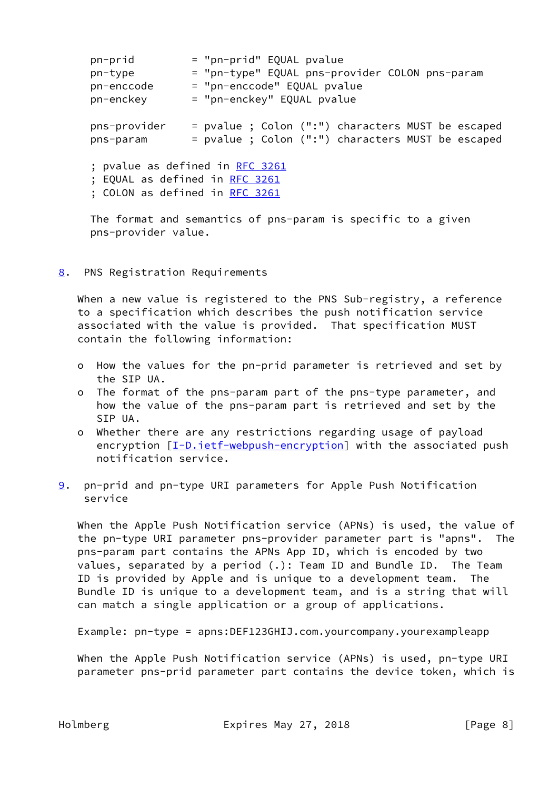| pn-prid                        | = "pn-prid" EQUAL pvalue                          |  |
|--------------------------------|---------------------------------------------------|--|
| pn-type                        | = "pn-type" EQUAL pns-provider COLON pns-param    |  |
| pn-enccode                     | = "pn-enccode" EQUAL pvalue                       |  |
| pn-enckey                      | = "pn-enckey" EQUAL pvalue                        |  |
|                                |                                                   |  |
| pns-provider                   | = pvalue ; Colon (":") characters MUST be escaped |  |
| pns-param                      | = pvalue ; Colon (":") characters MUST be escaped |  |
|                                |                                                   |  |
|                                | ; pvalue as defined in <u>RFC 3261</u>            |  |
| ; EQUAL as defined in RFC 3261 |                                                   |  |
| ; COLON as defined in RFC 3261 |                                                   |  |
|                                |                                                   |  |

 The format and semantics of pns-param is specific to a given pns-provider value.

<span id="page-8-0"></span>[8](#page-8-0). PNS Registration Requirements

When a new value is registered to the PNS Sub-registry, a reference to a specification which describes the push notification service associated with the value is provided. That specification MUST contain the following information:

- o How the values for the pn-prid parameter is retrieved and set by the SIP UA.
- o The format of the pns-param part of the pns-type parameter, and how the value of the pns-param part is retrieved and set by the SIP UA.
- o Whether there are any restrictions regarding usage of payload encryption  $[I-D.iett-webpush-encryption]$  with the associated push notification service.
- <span id="page-8-1"></span>[9](#page-8-1). pn-prid and pn-type URI parameters for Apple Push Notification service

 When the Apple Push Notification service (APNs) is used, the value of the pn-type URI parameter pns-provider parameter part is "apns". The pns-param part contains the APNs App ID, which is encoded by two values, separated by a period (.): Team ID and Bundle ID. The Team ID is provided by Apple and is unique to a development team. The Bundle ID is unique to a development team, and is a string that will can match a single application or a group of applications.

Example: pn-type = apns:DEF123GHIJ.com.yourcompany.yourexampleapp

 When the Apple Push Notification service (APNs) is used, pn-type URI parameter pns-prid parameter part contains the device token, which is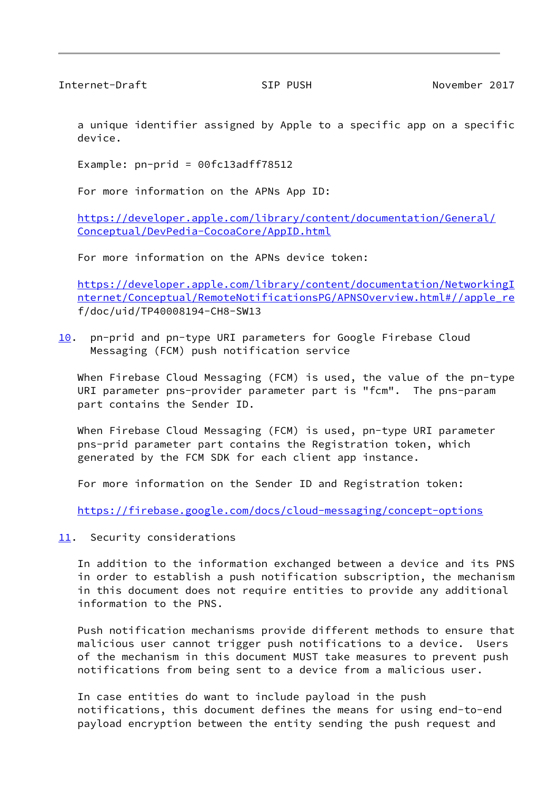<span id="page-9-0"></span>Internet-Draft SIP PUSH November 2017

 a unique identifier assigned by Apple to a specific app on a specific device.

Example: pn-prid = 00fc13adff78512

For more information on the APNs App ID:

 [https://developer.apple.com/library/content/documentation/General/](https://developer.apple.com/library/content/documentation/General/Conceptual/DevPedia-CocoaCore/AppID.html) [Conceptual/DevPedia-CocoaCore/AppID.html](https://developer.apple.com/library/content/documentation/General/Conceptual/DevPedia-CocoaCore/AppID.html)

For more information on the APNs device token:

 [https://developer.apple.com/library/content/documentation/NetworkingI](https://developer.apple.com/library/content/documentation/NetworkingInternet/Conceptual/RemoteNotificationsPG/APNSOverview.html#//apple_re) [nternet/Conceptual/RemoteNotificationsPG/APNSOverview.html#//apple\\_re](https://developer.apple.com/library/content/documentation/NetworkingInternet/Conceptual/RemoteNotificationsPG/APNSOverview.html#//apple_re) f/doc/uid/TP40008194-CH8-SW13

<span id="page-9-2"></span>[10.](#page-9-2) pn-prid and pn-type URI parameters for Google Firebase Cloud Messaging (FCM) push notification service

 When Firebase Cloud Messaging (FCM) is used, the value of the pn-type URI parameter pns-provider parameter part is "fcm". The pns-param part contains the Sender ID.

When Firebase Cloud Messaging (FCM) is used, pn-type URI parameter pns-prid parameter part contains the Registration token, which generated by the FCM SDK for each client app instance.

For more information on the Sender ID and Registration token:

<https://firebase.google.com/docs/cloud-messaging/concept-options>

<span id="page-9-1"></span>[11.](#page-9-1) Security considerations

 In addition to the information exchanged between a device and its PNS in order to establish a push notification subscription, the mechanism in this document does not require entities to provide any additional information to the PNS.

 Push notification mechanisms provide different methods to ensure that malicious user cannot trigger push notifications to a device. Users of the mechanism in this document MUST take measures to prevent push notifications from being sent to a device from a malicious user.

 In case entities do want to include payload in the push notifications, this document defines the means for using end-to-end payload encryption between the entity sending the push request and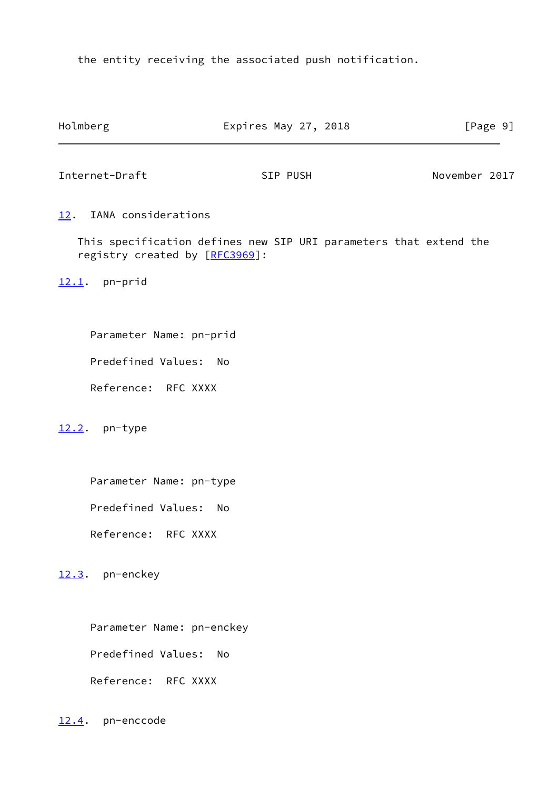the entity receiving the associated push notification.

<span id="page-10-2"></span><span id="page-10-1"></span><span id="page-10-0"></span>

| Holmberg                                                                                            | Expires May 27, 2018 |          |  |               | [Page 9] |  |
|-----------------------------------------------------------------------------------------------------|----------------------|----------|--|---------------|----------|--|
| Internet-Draft                                                                                      |                      | SIP PUSH |  | November 2017 |          |  |
| IANA considerations<br><u>12</u> .                                                                  |                      |          |  |               |          |  |
| This specification defines new SIP URI parameters that extend the<br>registry created by [RFC3969]: |                      |          |  |               |          |  |
| $12.1$ . pn-prid                                                                                    |                      |          |  |               |          |  |
| Parameter Name: pn-prid                                                                             |                      |          |  |               |          |  |
| Predefined Values: No                                                                               |                      |          |  |               |          |  |
| Reference: RFC XXXX                                                                                 |                      |          |  |               |          |  |
| 12.2. pn-type                                                                                       |                      |          |  |               |          |  |
| Parameter Name: pn-type                                                                             |                      |          |  |               |          |  |
| Predefined Values: No                                                                               |                      |          |  |               |          |  |
| Reference: RFC XXXX                                                                                 |                      |          |  |               |          |  |
| pn-enckey<br>12.3.                                                                                  |                      |          |  |               |          |  |
| Parameter Name: pn-enckey                                                                           |                      |          |  |               |          |  |
| Predefined Values:                                                                                  | <b>No</b>            |          |  |               |          |  |
| Reference: RFC XXXX                                                                                 |                      |          |  |               |          |  |

<span id="page-10-5"></span><span id="page-10-4"></span><span id="page-10-3"></span>[12.4](#page-10-5). pn-enccode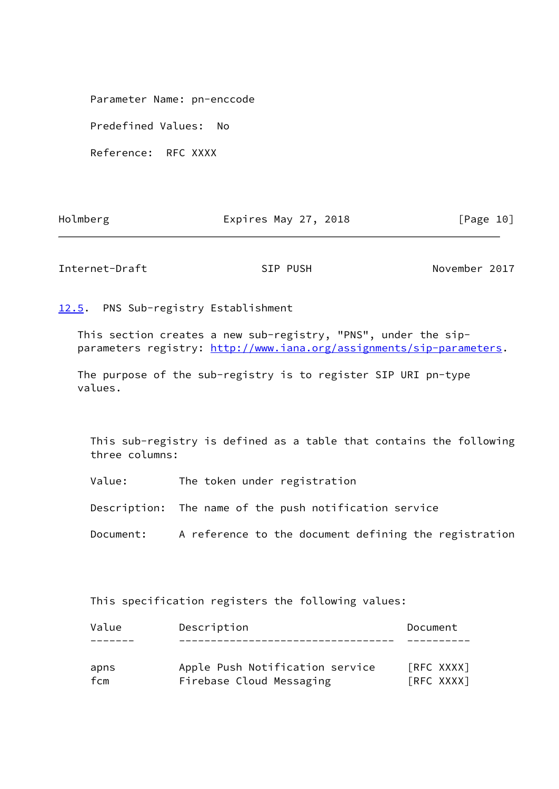Parameter Name: pn-enccode

Predefined Values: No

Reference: RFC XXXX

Holmberg **Expires May 27, 2018** Expires May 27, 2018

<span id="page-11-1"></span>Internet-Draft SIP PUSH SIP PUSH November 2017

<span id="page-11-0"></span>[12.5](#page-11-0). PNS Sub-registry Establishment

 This section creates a new sub-registry, "PNS", under the sip parameters registry:<http://www.iana.org/assignments/sip-parameters>.

 The purpose of the sub-registry is to register SIP URI pn-type values.

 This sub-registry is defined as a table that contains the following three columns:

Value: The token under registration

Description: The name of the push notification service

Document: A reference to the document defining the registration

This specification registers the following values:

| Value | Description                     | Document   |
|-------|---------------------------------|------------|
|       |                                 |            |
| apns  | Apple Push Notification service | [RFC XXXX] |
| fcm   | Firebase Cloud Messaging        | [RFC XXXX] |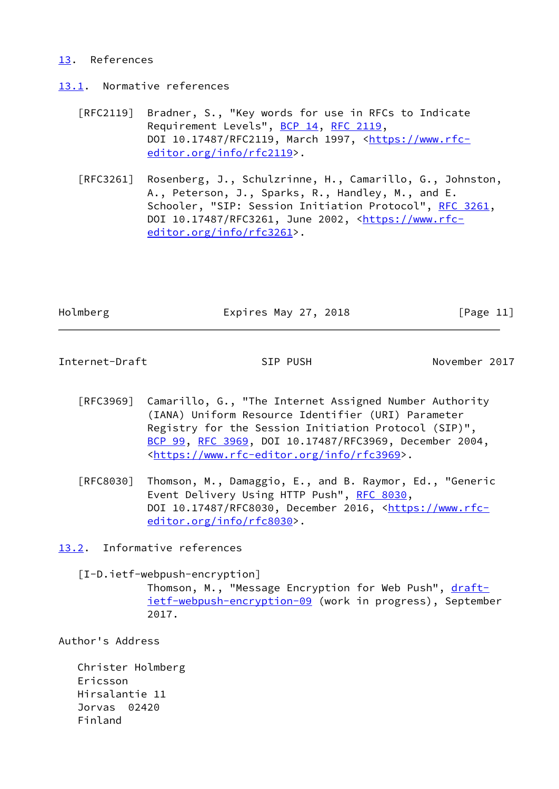### <span id="page-12-0"></span>[13.](#page-12-0) References

<span id="page-12-1"></span>[13.1](#page-12-1). Normative references

- [RFC2119] Bradner, S., "Key words for use in RFCs to Indicate Requirement Levels", [BCP 14](https://datatracker.ietf.org/doc/pdf/bcp14), [RFC 2119](https://datatracker.ietf.org/doc/pdf/rfc2119), DOI 10.17487/RFC2119, March 1997, [<https://www.rfc](https://www.rfc-editor.org/info/rfc2119) [editor.org/info/rfc2119](https://www.rfc-editor.org/info/rfc2119)>.
- [RFC3261] Rosenberg, J., Schulzrinne, H., Camarillo, G., Johnston, A., Peterson, J., Sparks, R., Handley, M., and E. Schooler, "SIP: Session Initiation Protocol", [RFC 3261](https://datatracker.ietf.org/doc/pdf/rfc3261), DOI 10.17487/RFC3261, June 2002, [<https://www.rfc](https://www.rfc-editor.org/info/rfc3261) [editor.org/info/rfc3261](https://www.rfc-editor.org/info/rfc3261)>.

Holmberg **Expires May 27, 2018** [Page 11]

<span id="page-12-3"></span>Internet-Draft SIP PUSH November 2017

- [RFC3969] Camarillo, G., "The Internet Assigned Number Authority (IANA) Uniform Resource Identifier (URI) Parameter Registry for the Session Initiation Protocol (SIP)", [BCP 99](https://datatracker.ietf.org/doc/pdf/bcp99), [RFC 3969,](https://datatracker.ietf.org/doc/pdf/rfc3969) DOI 10.17487/RFC3969, December 2004, <[https://www.rfc-editor.org/info/rfc3969>](https://www.rfc-editor.org/info/rfc3969).
- [RFC8030] Thomson, M., Damaggio, E., and B. Raymor, Ed., "Generic Event Delivery Using HTTP Push", [RFC 8030,](https://datatracker.ietf.org/doc/pdf/rfc8030) DOI 10.17487/RFC8030, December 2016, [<https://www.rfc](https://www.rfc-editor.org/info/rfc8030) [editor.org/info/rfc8030](https://www.rfc-editor.org/info/rfc8030)>.

<span id="page-12-2"></span>[13.2](#page-12-2). Informative references

<span id="page-12-4"></span>[I-D.ietf-webpush-encryption]

Thomson, M., "Message Encryption for Web Push", [draft](https://datatracker.ietf.org/doc/pdf/draft-ietf-webpush-encryption-09) [ietf-webpush-encryption-09](https://datatracker.ietf.org/doc/pdf/draft-ietf-webpush-encryption-09) (work in progress), September 2017.

Author's Address

 Christer Holmberg Ericsson Hirsalantie 11 Jorvas 02420 Finland